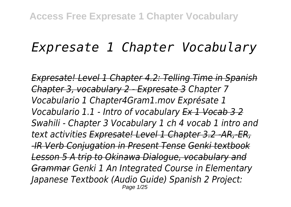# *Expresate 1 Chapter Vocabulary*

*Expresate! Level 1 Chapter 4.2: Telling Time in Spanish Chapter 3, vocabulary 2 - Expresate 3 Chapter 7 Vocabulario 1 Chapter4Gram1.mov Exprésate 1 Vocabulario 1.1 - Intro of vocabulary Ex 1 Vocab 3 2 Swahili - Chapter 3 Vocabulary 1 ch 4 vocab 1 intro and text activities Expresate! Level 1 Chapter 3.2 -AR,-ER, -IR Verb Conjugation in Present Tense Genki textbook Lesson 5 A trip to Okinawa Dialogue, vocabulary and Grammar Genki 1 An Integrated Course in Elementary Japanese Textbook (Audio Guide) Spanish 2 Project:* Page 1/25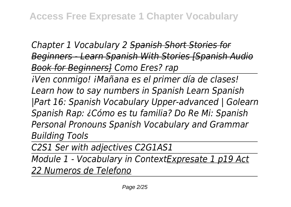*Chapter 1 Vocabulary 2 Spanish Short Stories for Beginners - Learn Spanish With Stories [Spanish Audio Book for Beginners] Como Eres? rap*

*¡Ven conmigo! ¡Mañana es el primer día de clases! Learn how to say numbers in Spanish Learn Spanish |Part 16: Spanish Vocabulary Upper-advanced | Golearn Spanish Rap: ¿Cómo es tu familia? Do Re Mi: Spanish Personal Pronouns Spanish Vocabulary and Grammar Building Tools*

*C2S1 Ser with adjectives C2G1AS1*

*Module 1 - Vocabulary in ContextExpresate 1 p19 Act 22 Numeros de Telefono*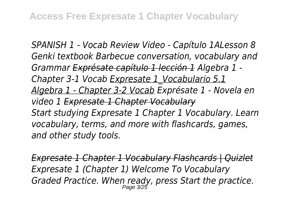*SPANISH 1 - Vocab Review Video - Capítulo 1ALesson 8 Genki textbook Barbecue conversation, vocabulary and Grammar Exprésate capítulo 1 lección 1 Algebra 1 - Chapter 3-1 Vocab Expresate 1\_Vocabulario 5.1 Algebra 1 - Chapter 3-2 Vocab Exprésate 1 - Novela en video 1 Expresate 1 Chapter Vocabulary Start studying Expresate 1 Chapter 1 Vocabulary. Learn vocabulary, terms, and more with flashcards, games, and other study tools.*

*Expresate 1 Chapter 1 Vocabulary Flashcards | Quizlet Expresate 1 (Chapter 1) Welcome To Vocabulary Graded Practice. When ready, press Start the practice.* Page 3/25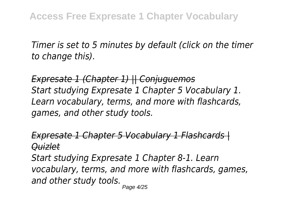*Timer is set to 5 minutes by default (click on the timer to change this).*

*Expresate 1 (Chapter 1) || Conjuguemos Start studying Expresate 1 Chapter 5 Vocabulary 1. Learn vocabulary, terms, and more with flashcards, games, and other study tools.*

*Expresate 1 Chapter 5 Vocabulary 1 Flashcards | Quizlet*

*Start studying Expresate 1 Chapter 8-1. Learn vocabulary, terms, and more with flashcards, games, and other study tools.* Page 4/25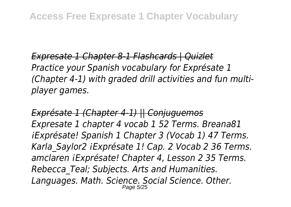*Expresate 1 Chapter 8-1 Flashcards | Quizlet Practice your Spanish vocabulary for Exprésate 1 (Chapter 4-1) with graded drill activities and fun multiplayer games.*

*Exprésate 1 (Chapter 4-1) || Conjuguemos Expresate 1 chapter 4 vocab 1 52 Terms. Breana81 ¡Exprésate! Spanish 1 Chapter 3 (Vocab 1) 47 Terms. Karla\_Saylor2 ¡Exprésate 1! Cap. 2 Vocab 2 36 Terms. amclaren ¡Exprésate! Chapter 4, Lesson 2 35 Terms. Rebecca\_Teal; Subjects. Arts and Humanities. Languages. Math. Science. Social Science. Other.* Page 5/25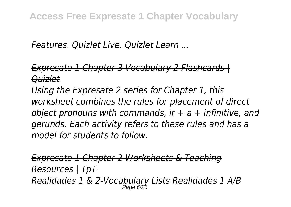*Features. Quizlet Live. Quizlet Learn ...*

## *Expresate 1 Chapter 3 Vocabulary 2 Flashcards | Quizlet*

*Using the Expresate 2 series for Chapter 1, this worksheet combines the rules for placement of direct object pronouns with commands, ir + a + infinitive, and gerunds. Each activity refers to these rules and has a model for students to follow.*

*Expresate 1 Chapter 2 Worksheets & Teaching Resources | TpT Realidades 1 & 2-Vocabulary Lists Realidades 1 A/B* Page 6/25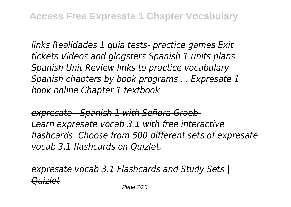*links Realidades 1 quia tests- practice games Exit tickets Videos and glogsters Spanish 1 units plans Spanish Unit Review links to practice vocabulary Spanish chapters by book programs ... Expresate 1 book online Chapter 1 textbook*

*expresate - Spanish 1 with Señora Groeb-Learn expresate vocab 3.1 with free interactive flashcards. Choose from 500 different sets of expresate vocab 3.1 flashcards on Quizlet.*

*expresate vocab 3.1 Flashcards and Study Sets | Quizlet*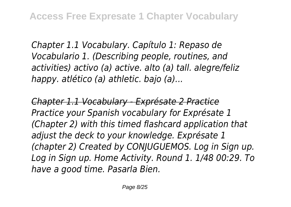*Chapter 1.1 Vocabulary. Capítulo 1: Repaso de Vocabulario 1. (Describing people, routines, and activities) activo (a) active. alto (a) tall. alegre/feliz happy. atlético (a) athletic. bajo (a)...*

*Chapter 1.1 Vocabulary - Exprésate 2 Practice Practice your Spanish vocabulary for Exprésate 1 (Chapter 2) with this timed flashcard application that adjust the deck to your knowledge. Exprésate 1 (chapter 2) Created by CONJUGUEMOS. Log in Sign up. Log in Sign up. Home Activity. Round 1. 1/48 00:29. To have a good time. Pasarla Bien.*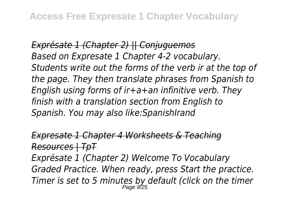*Exprésate 1 (Chapter 2) || Conjuguemos Based on Expresate 1 Chapter 4-2 vocabulary. Students write out the forms of the verb ir at the top of the page. They then translate phrases from Spanish to English using forms of ir+a+an infinitive verb. They finish with a translation section from English to Spanish. You may also like:SpanishIrand*

## *Expresate 1 Chapter 4 Worksheets & Teaching Resources | TpT*

*Exprésate 1 (Chapter 2) Welcome To Vocabulary Graded Practice. When ready, press Start the practice. Timer is set to 5 minutes by default (click on the timer* Page 9/25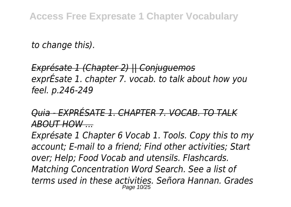*to change this).*

*Exprésate 1 (Chapter 2) || Conjuguemos exprÉsate 1. chapter 7. vocab. to talk about how you feel. p.246-249*

## *Quia - EXPRÉSATE 1. CHAPTER 7. VOCAB. TO TALK ABOUT HOW ...*

*Exprésate 1 Chapter 6 Vocab 1. Tools. Copy this to my account; E-mail to a friend; Find other activities; Start over; Help; Food Vocab and utensils. Flashcards. Matching Concentration Word Search. See a list of terms used in these activities. Señora Hannan. Grades* Page 10/25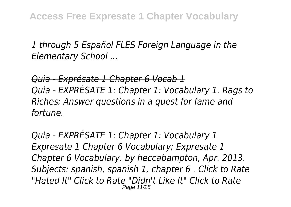*1 through 5 Español FLES Foreign Language in the Elementary School ...*

*Quia - Exprésate 1 Chapter 6 Vocab 1 Quia - EXPRÉSATE 1: Chapter 1: Vocabulary 1. Rags to Riches: Answer questions in a quest for fame and fortune.*

*Quia - EXPRÉSATE 1: Chapter 1: Vocabulary 1 Expresate 1 Chapter 6 Vocabulary; Expresate 1 Chapter 6 Vocabulary. by heccabampton, Apr. 2013. Subjects: spanish, spanish 1, chapter 6 . Click to Rate "Hated It" Click to Rate "Didn't Like It" Click to Rate* Page 11/25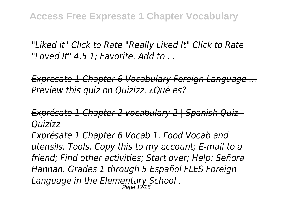*"Liked It" Click to Rate "Really Liked It" Click to Rate "Loved It" 4.5 1; Favorite. Add to ...*

*Expresate 1 Chapter 6 Vocabulary Foreign Language ... Preview this quiz on Quizizz. ¿Qué es?*

*Exprésate 1 Chapter 2 vocabulary 2 | Spanish Quiz - Quizizz*

*Exprésate 1 Chapter 6 Vocab 1. Food Vocab and utensils. Tools. Copy this to my account; E-mail to a friend; Find other activities; Start over; Help; Señora Hannan. Grades 1 through 5 Español FLES Foreign Language in the Elementary School .* Page 12/25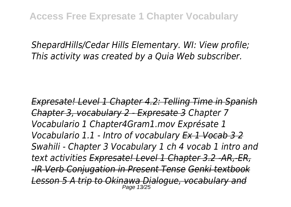*ShepardHills/Cedar Hills Elementary. WI: View profile; This activity was created by a Quia Web subscriber.*

*Expresate! Level 1 Chapter 4.2: Telling Time in Spanish Chapter 3, vocabulary 2 - Expresate 3 Chapter 7 Vocabulario 1 Chapter4Gram1.mov Exprésate 1 Vocabulario 1.1 - Intro of vocabulary Ex 1 Vocab 3 2 Swahili - Chapter 3 Vocabulary 1 ch 4 vocab 1 intro and text activities Expresate! Level 1 Chapter 3.2 -AR,-ER, -IR Verb Conjugation in Present Tense Genki textbook Lesson 5 A trip to Okinawa Dialogue, vocabulary and* Page 13/25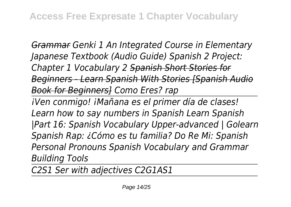*Grammar Genki 1 An Integrated Course in Elementary Japanese Textbook (Audio Guide) Spanish 2 Project: Chapter 1 Vocabulary 2 Spanish Short Stories for Beginners - Learn Spanish With Stories [Spanish Audio Book for Beginners] Como Eres? rap*

*¡Ven conmigo! ¡Mañana es el primer día de clases! Learn how to say numbers in Spanish Learn Spanish |Part 16: Spanish Vocabulary Upper-advanced | Golearn Spanish Rap: ¿Cómo es tu familia? Do Re Mi: Spanish Personal Pronouns Spanish Vocabulary and Grammar Building Tools*

*C2S1 Ser with adjectives C2G1AS1*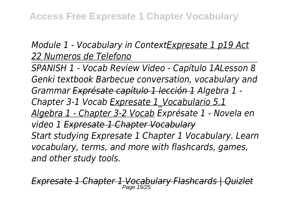## *Module 1 - Vocabulary in ContextExpresate 1 p19 Act 22 Numeros de Telefono*

*SPANISH 1 - Vocab Review Video - Capítulo 1ALesson 8 Genki textbook Barbecue conversation, vocabulary and Grammar Exprésate capítulo 1 lección 1 Algebra 1 - Chapter 3-1 Vocab Expresate 1\_Vocabulario 5.1 Algebra 1 - Chapter 3-2 Vocab Exprésate 1 - Novela en video 1 Expresate 1 Chapter Vocabulary Start studying Expresate 1 Chapter 1 Vocabulary. Learn vocabulary, terms, and more with flashcards, games, and other study tools.*

*Expresate 1 Chapter 1 Vocabulary Flashcards | Quizlet* Page 15/25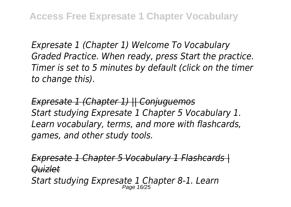*Expresate 1 (Chapter 1) Welcome To Vocabulary Graded Practice. When ready, press Start the practice. Timer is set to 5 minutes by default (click on the timer to change this).*

*Expresate 1 (Chapter 1) || Conjuguemos Start studying Expresate 1 Chapter 5 Vocabulary 1. Learn vocabulary, terms, and more with flashcards, games, and other study tools.*

*Expresate 1 Chapter 5 Vocabulary 1 Flashcards | Quizlet Start studying Expresate 1 Chapter 8-1. Learn* Page 16/25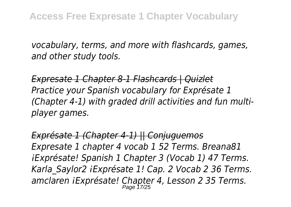*vocabulary, terms, and more with flashcards, games, and other study tools.*

*Expresate 1 Chapter 8-1 Flashcards | Quizlet Practice your Spanish vocabulary for Exprésate 1 (Chapter 4-1) with graded drill activities and fun multiplayer games.*

*Exprésate 1 (Chapter 4-1) || Conjuguemos Expresate 1 chapter 4 vocab 1 52 Terms. Breana81 ¡Exprésate! Spanish 1 Chapter 3 (Vocab 1) 47 Terms. Karla\_Saylor2 ¡Exprésate 1! Cap. 2 Vocab 2 36 Terms. amclaren ¡Exprésate! Chapter 4, Lesson 2 35 Terms.* Page 17/25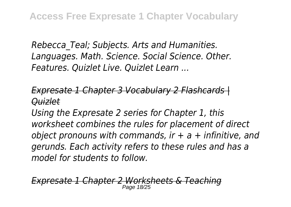*Rebecca\_Teal; Subjects. Arts and Humanities. Languages. Math. Science. Social Science. Other. Features. Quizlet Live. Quizlet Learn ...*

## *Expresate 1 Chapter 3 Vocabulary 2 Flashcards | Quizlet*

*Using the Expresate 2 series for Chapter 1, this worksheet combines the rules for placement of direct object pronouns with commands, ir + a + infinitive, and gerunds. Each activity refers to these rules and has a model for students to follow.*

*Expresate 1 Chapter 2 Worksheets & Teaching* Page 18/25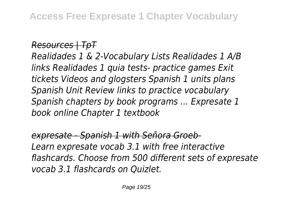#### *Resources | TpT*

*Realidades 1 & 2-Vocabulary Lists Realidades 1 A/B links Realidades 1 quia tests- practice games Exit tickets Videos and glogsters Spanish 1 units plans Spanish Unit Review links to practice vocabulary Spanish chapters by book programs ... Expresate 1 book online Chapter 1 textbook*

*expresate - Spanish 1 with Señora Groeb-Learn expresate vocab 3.1 with free interactive flashcards. Choose from 500 different sets of expresate vocab 3.1 flashcards on Quizlet.*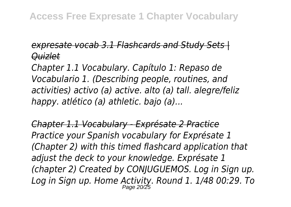## *expresate vocab 3.1 Flashcards and Study Sets | Quizlet*

*Chapter 1.1 Vocabulary. Capítulo 1: Repaso de Vocabulario 1. (Describing people, routines, and activities) activo (a) active. alto (a) tall. alegre/feliz happy. atlético (a) athletic. bajo (a)...*

*Chapter 1.1 Vocabulary - Exprésate 2 Practice Practice your Spanish vocabulary for Exprésate 1 (Chapter 2) with this timed flashcard application that adjust the deck to your knowledge. Exprésate 1 (chapter 2) Created by CONJUGUEMOS. Log in Sign up. Log in Sign up. Home Activity. Round 1. 1/48 00:29. To* Page 20/25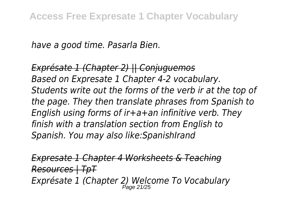*have a good time. Pasarla Bien.*

*Exprésate 1 (Chapter 2) || Conjuguemos Based on Expresate 1 Chapter 4-2 vocabulary. Students write out the forms of the verb ir at the top of the page. They then translate phrases from Spanish to English using forms of ir+a+an infinitive verb. They finish with a translation section from English to Spanish. You may also like:SpanishIrand*

*Expresate 1 Chapter 4 Worksheets & Teaching Resources | TpT Exprésate 1 (Chapter 2) Welcome To Vocabulary* Page 21/25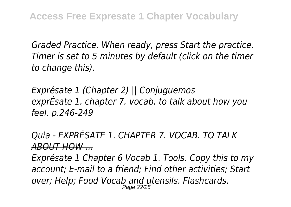*Graded Practice. When ready, press Start the practice. Timer is set to 5 minutes by default (click on the timer to change this).*

*Exprésate 1 (Chapter 2) || Conjuguemos exprÉsate 1. chapter 7. vocab. to talk about how you feel. p.246-249*

*Quia - EXPRÉSATE 1. CHAPTER 7. VOCAB. TO TALK ABOUT HOW ...*

*Exprésate 1 Chapter 6 Vocab 1. Tools. Copy this to my account; E-mail to a friend; Find other activities; Start over; Help; Food Vocab and utensils. Flashcards.* Page 22/25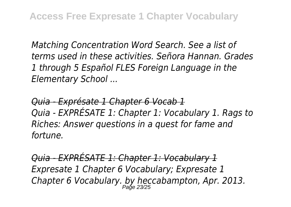*Matching Concentration Word Search. See a list of terms used in these activities. Señora Hannan. Grades 1 through 5 Español FLES Foreign Language in the Elementary School ...*

*Quia - Exprésate 1 Chapter 6 Vocab 1 Quia - EXPRÉSATE 1: Chapter 1: Vocabulary 1. Rags to Riches: Answer questions in a quest for fame and fortune.*

*Quia - EXPRÉSATE 1: Chapter 1: Vocabulary 1 Expresate 1 Chapter 6 Vocabulary; Expresate 1 Chapter 6 Vocabulary. by heccabampton, Apr. 2013.* Page 23/25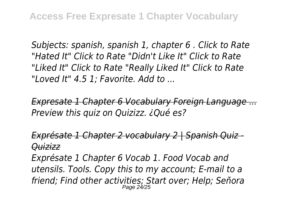*Subjects: spanish, spanish 1, chapter 6 . Click to Rate "Hated It" Click to Rate "Didn't Like It" Click to Rate "Liked It" Click to Rate "Really Liked It" Click to Rate "Loved It" 4.5 1; Favorite. Add to ...*

*Expresate 1 Chapter 6 Vocabulary Foreign Language ... Preview this quiz on Quizizz. ¿Qué es?*

*Exprésate 1 Chapter 2 vocabulary 2 | Spanish Quiz - Quizizz*

*Exprésate 1 Chapter 6 Vocab 1. Food Vocab and utensils. Tools. Copy this to my account; E-mail to a friend; Find other activities; Start over; Help; Señora* Page 24/25